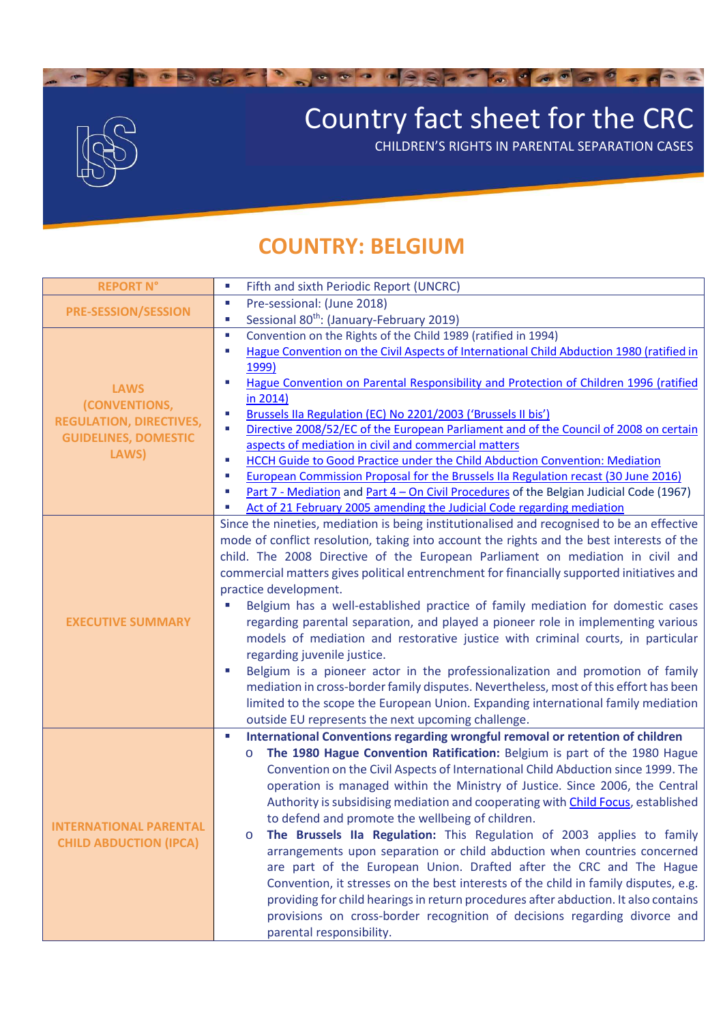

## Country fact sheet for the CRC

CHILDREN'S RIGHTS IN PARENTAL SEPARATION CASES

## **COUNTRY: BELGIUM**

| <b>REPORT N°</b>                                                                                       | Fifth and sixth Periodic Report (UNCRC)<br>$\mathcal{L}_{\mathcal{A}}$                          |
|--------------------------------------------------------------------------------------------------------|-------------------------------------------------------------------------------------------------|
| <b>PRE-SESSION/SESSION</b>                                                                             | Pre-sessional: (June 2018)<br>$\overline{\phantom{a}}$                                          |
|                                                                                                        | Sessional 80 <sup>th</sup> : (January-February 2019)<br>×.                                      |
| <b>LAWS</b><br>(CONVENTIONS,<br><b>REGULATION, DIRECTIVES,</b><br><b>GUIDELINES, DOMESTIC</b><br>LAWS) | Convention on the Rights of the Child 1989 (ratified in 1994)<br>$\mathcal{C}$                  |
|                                                                                                        | Hague Convention on the Civil Aspects of International Child Abduction 1980 (ratified in<br>×   |
|                                                                                                        | 1999)                                                                                           |
|                                                                                                        | Hague Convention on Parental Responsibility and Protection of Children 1996 (ratified<br>×      |
|                                                                                                        | in 2014)                                                                                        |
|                                                                                                        | Brussels IIa Regulation (EC) No 2201/2003 ('Brussels II bis')<br>×                              |
|                                                                                                        | Directive 2008/52/EC of the European Parliament and of the Council of 2008 on certain<br>×      |
|                                                                                                        | aspects of mediation in civil and commercial matters                                            |
|                                                                                                        | HCCH Guide to Good Practice under the Child Abduction Convention: Mediation<br>×                |
|                                                                                                        | European Commission Proposal for the Brussels IIa Regulation recast (30 June 2016)<br>×         |
|                                                                                                        | Part 7 - Mediation and Part 4 - On Civil Procedures of the Belgian Judicial Code (1967)<br>×    |
|                                                                                                        | Act of 21 February 2005 amending the Judicial Code regarding mediation                          |
|                                                                                                        | Since the nineties, mediation is being institutionalised and recognised to be an effective      |
|                                                                                                        | mode of conflict resolution, taking into account the rights and the best interests of the       |
|                                                                                                        | child. The 2008 Directive of the European Parliament on mediation in civil and                  |
|                                                                                                        | commercial matters gives political entrenchment for financially supported initiatives and       |
|                                                                                                        | practice development.                                                                           |
|                                                                                                        | Belgium has a well-established practice of family mediation for domestic cases                  |
| <b>EXECUTIVE SUMMARY</b>                                                                               | regarding parental separation, and played a pioneer role in implementing various                |
|                                                                                                        | models of mediation and restorative justice with criminal courts, in particular                 |
|                                                                                                        | regarding juvenile justice.                                                                     |
|                                                                                                        | Belgium is a pioneer actor in the professionalization and promotion of family                   |
|                                                                                                        | mediation in cross-border family disputes. Nevertheless, most of this effort has been           |
|                                                                                                        | limited to the scope the European Union. Expanding international family mediation               |
|                                                                                                        | outside EU represents the next upcoming challenge.                                              |
|                                                                                                        | International Conventions regarding wrongful removal or retention of children<br>$\blacksquare$ |
|                                                                                                        | The 1980 Hague Convention Ratification: Belgium is part of the 1980 Hague<br>$\circ$            |
|                                                                                                        | Convention on the Civil Aspects of International Child Abduction since 1999. The                |
|                                                                                                        | operation is managed within the Ministry of Justice. Since 2006, the Central                    |
|                                                                                                        | Authority is subsidising mediation and cooperating with Child Focus, established                |
|                                                                                                        | to defend and promote the wellbeing of children.                                                |
| <b>INTERNATIONAL PARENTAL</b>                                                                          | The Brussels IIa Regulation: This Regulation of 2003 applies to family<br>$\circ$               |
| <b>CHILD ABDUCTION (IPCA)</b>                                                                          | arrangements upon separation or child abduction when countries concerned                        |
|                                                                                                        | are part of the European Union. Drafted after the CRC and The Hague                             |
|                                                                                                        |                                                                                                 |
|                                                                                                        | Convention, it stresses on the best interests of the child in family disputes, e.g.             |
|                                                                                                        | providing for child hearings in return procedures after abduction. It also contains             |
|                                                                                                        | provisions on cross-border recognition of decisions regarding divorce and                       |
|                                                                                                        | parental responsibility.                                                                        |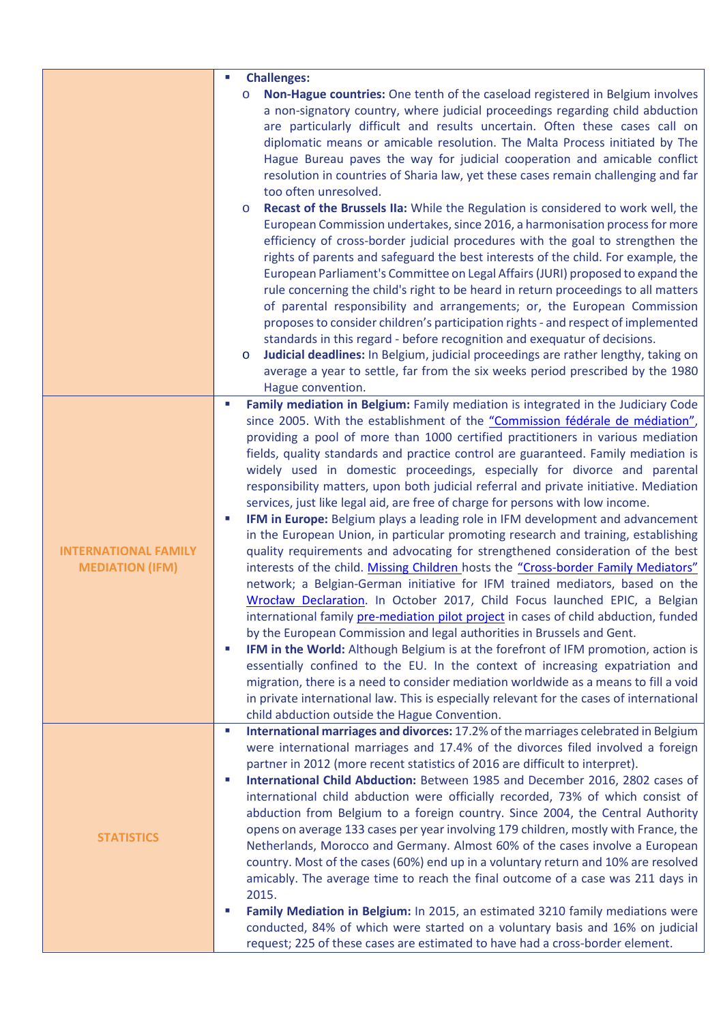|                                                       | $\mathcal{L}_{\mathcal{A}}$<br><b>Challenges:</b><br>Non-Hague countries: One tenth of the caseload registered in Belgium involves<br>$\circ$<br>a non-signatory country, where judicial proceedings regarding child abduction<br>are particularly difficult and results uncertain. Often these cases call on<br>diplomatic means or amicable resolution. The Malta Process initiated by The<br>Hague Bureau paves the way for judicial cooperation and amicable conflict<br>resolution in countries of Sharia law, yet these cases remain challenging and far<br>too often unresolved.<br>Recast of the Brussels IIa: While the Regulation is considered to work well, the<br>$\circ$<br>European Commission undertakes, since 2016, a harmonisation process for more<br>efficiency of cross-border judicial procedures with the goal to strengthen the<br>rights of parents and safeguard the best interests of the child. For example, the<br>European Parliament's Committee on Legal Affairs (JURI) proposed to expand the<br>rule concerning the child's right to be heard in return proceedings to all matters<br>of parental responsibility and arrangements; or, the European Commission<br>proposes to consider children's participation rights - and respect of implemented<br>standards in this regard - before recognition and exequatur of decisions.<br>Judicial deadlines: In Belgium, judicial proceedings are rather lengthy, taking on<br>$\circ$<br>average a year to settle, far from the six weeks period prescribed by the 1980<br>Hague convention.                                                                                                                                                  |
|-------------------------------------------------------|------------------------------------------------------------------------------------------------------------------------------------------------------------------------------------------------------------------------------------------------------------------------------------------------------------------------------------------------------------------------------------------------------------------------------------------------------------------------------------------------------------------------------------------------------------------------------------------------------------------------------------------------------------------------------------------------------------------------------------------------------------------------------------------------------------------------------------------------------------------------------------------------------------------------------------------------------------------------------------------------------------------------------------------------------------------------------------------------------------------------------------------------------------------------------------------------------------------------------------------------------------------------------------------------------------------------------------------------------------------------------------------------------------------------------------------------------------------------------------------------------------------------------------------------------------------------------------------------------------------------------------------------------------------------------------------------------------------------------|
| <b>INTERNATIONAL FAMILY</b><br><b>MEDIATION (IFM)</b> | Family mediation in Belgium: Family mediation is integrated in the Judiciary Code<br>$\blacksquare$<br>since 2005. With the establishment of the "Commission fédérale de médiation",<br>providing a pool of more than 1000 certified practitioners in various mediation<br>fields, quality standards and practice control are guaranteed. Family mediation is<br>widely used in domestic proceedings, especially for divorce and parental<br>responsibility matters, upon both judicial referral and private initiative. Mediation<br>services, just like legal aid, are free of charge for persons with low income.<br>IFM in Europe: Belgium plays a leading role in IFM development and advancement<br>×.<br>in the European Union, in particular promoting research and training, establishing<br>quality requirements and advocating for strengthened consideration of the best<br>interests of the child. Missing Children hosts the "Cross-border Family Mediators"<br>network; a Belgian-German initiative for IFM trained mediators, based on the<br>Wrocław Declaration. In October 2017, Child Focus launched EPIC, a Belgian<br>international family pre-mediation pilot project in cases of child abduction, funded<br>by the European Commission and legal authorities in Brussels and Gent.<br>IFM in the World: Although Belgium is at the forefront of IFM promotion, action is<br>×.<br>essentially confined to the EU. In the context of increasing expatriation and<br>migration, there is a need to consider mediation worldwide as a means to fill a void<br>in private international law. This is especially relevant for the cases of international<br>child abduction outside the Hague Convention. |
| <b>STATISTICS</b>                                     | International marriages and divorces: 17.2% of the marriages celebrated in Belgium<br>$\blacksquare$<br>were international marriages and 17.4% of the divorces filed involved a foreign<br>partner in 2012 (more recent statistics of 2016 are difficult to interpret).<br>International Child Abduction: Between 1985 and December 2016, 2802 cases of<br>×.<br>international child abduction were officially recorded, 73% of which consist of<br>abduction from Belgium to a foreign country. Since 2004, the Central Authority<br>opens on average 133 cases per year involving 179 children, mostly with France, the<br>Netherlands, Morocco and Germany. Almost 60% of the cases involve a European<br>country. Most of the cases (60%) end up in a voluntary return and 10% are resolved<br>amicably. The average time to reach the final outcome of a case was 211 days in<br>2015.<br>Family Mediation in Belgium: In 2015, an estimated 3210 family mediations were<br>ш<br>conducted, 84% of which were started on a voluntary basis and 16% on judicial<br>request; 225 of these cases are estimated to have had a cross-border element.                                                                                                                                                                                                                                                                                                                                                                                                                                                                                                                                                                         |